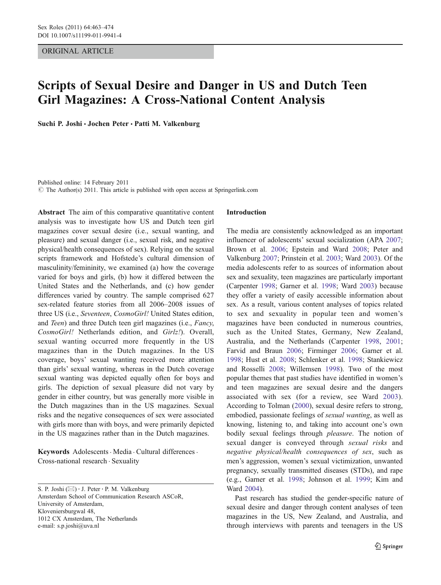# ORIGINAL ARTICLE

# Scripts of Sexual Desire and Danger in US and Dutch Teen Girl Magazines: A Cross-National Content Analysis

Suchi P. Joshi · Jochen Peter · Patti M. Valkenburg

Published online: 14 February 2011 © The Author(s) 2011. This article is published with open access at Springerlink.com

Abstract The aim of this comparative quantitative content analysis was to investigate how US and Dutch teen girl magazines cover sexual desire (i.e., sexual wanting, and pleasure) and sexual danger (i.e., sexual risk, and negative physical/health consequences of sex). Relying on the sexual scripts framework and Hofstede's cultural dimension of masculinity/femininity, we examined (a) how the coverage varied for boys and girls, (b) how it differed between the United States and the Netherlands, and (c) how gender differences varied by country. The sample comprised 627 sex-related feature stories from all 2006–2008 issues of three US (i.e., Seventeen, CosmoGirl! United States edition, and Teen) and three Dutch teen girl magazines (i.e., Fancy, CosmoGirl! Netherlands edition, and Girlz!). Overall, sexual wanting occurred more frequently in the US magazines than in the Dutch magazines. In the US coverage, boys' sexual wanting received more attention than girls' sexual wanting, whereas in the Dutch coverage sexual wanting was depicted equally often for boys and girls. The depiction of sexual pleasure did not vary by gender in either country, but was generally more visible in the Dutch magazines than in the US magazines. Sexual risks and the negative consequences of sex were associated with girls more than with boys, and were primarily depicted in the US magazines rather than in the Dutch magazines.

Keywords Adolescents · Media · Cultural differences · Cross-national research . Sexuality

S. P. Joshi  $(\boxtimes) \cdot$  J. Peter  $\cdot$  P. M. Valkenburg Amsterdam School of Communication Research ASCoR, University of Amsterdam, Kloveniersburgwal 48, 1012 CX Amsterdam, The Netherlands e-mail: s.p.joshi@uva.nl

## Introduction

The media are consistently acknowledged as an important influencer of adolescents' sexual socialization (APA [2007;](#page-9-0) Brown et al. [2006](#page-10-0); Epstein and Ward [2008](#page-10-0); Peter and Valkenburg [2007;](#page-10-0) Prinstein et al. [2003;](#page-11-0) Ward [2003](#page-11-0)). Of the media adolescents refer to as sources of information about sex and sexuality, teen magazines are particularly important (Carpenter [1998](#page-10-0); Garner et al. [1998](#page-10-0); Ward [2003\)](#page-11-0) because they offer a variety of easily accessible information about sex. As a result, various content analyses of topics related to sex and sexuality in popular teen and women's magazines have been conducted in numerous countries, such as the United States, Germany, New Zealand, Australia, and the Netherlands (Carpenter [1998,](#page-10-0) [2001;](#page-10-0) Farvid and Braun [2006](#page-10-0); Firminger [2006;](#page-10-0) Garner et al. [1998](#page-10-0); Hust et al. [2008;](#page-10-0) Schlenker et al. [1998;](#page-11-0) Stankiewicz and Rosselli [2008](#page-11-0); Willemsen [1998](#page-11-0)). Two of the most popular themes that past studies have identified in women's and teen magazines are sexual desire and the dangers associated with sex (for a review, see Ward [2003](#page-11-0)). According to Tolman ([2000\)](#page-11-0), sexual desire refers to strong, embodied, passionate feelings of sexual wanting, as well as knowing, listening to, and taking into account one's own bodily sexual feelings through pleasure. The notion of sexual danger is conveyed through sexual risks and negative physical/health consequences of sex, such as men's aggression, women's sexual victimization, unwanted pregnancy, sexually transmitted diseases (STDs), and rape (e.g., Garner et al. [1998](#page-10-0); Johnson et al. [1999](#page-10-0); Kim and Ward [2004\)](#page-10-0).

Past research has studied the gender-specific nature of sexual desire and danger through content analyses of teen magazines in the US, New Zealand, and Australia, and through interviews with parents and teenagers in the US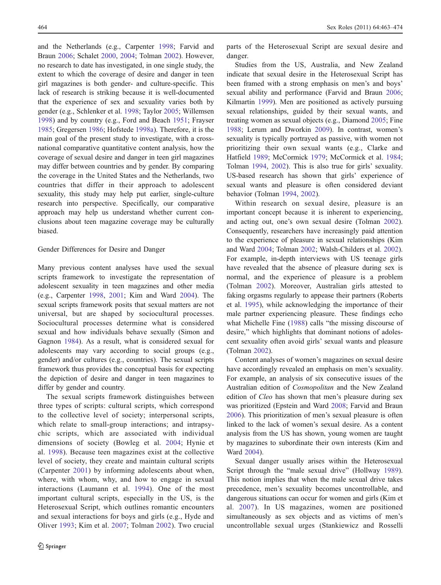and the Netherlands (e.g., Carpenter [1998](#page-10-0); Farvid and Braun [2006](#page-10-0); Schalet [2000,](#page-11-0) [2004](#page-11-0); Tolman [2002\)](#page-11-0). However, no research to date has investigated, in one single study, the extent to which the coverage of desire and danger in teen girl magazines is both gender- and culture-specific. This lack of research is striking because it is well-documented that the experience of sex and sexuality varies both by gender (e.g., Schlenker et al. [1998;](#page-11-0) Taylor [2005](#page-11-0); Willemsen [1998\)](#page-11-0) and by country (e.g., Ford and Beach [1951;](#page-10-0) Frayser [1985;](#page-10-0) Gregersen [1986;](#page-10-0) Hofstede [1998a](#page-10-0)). Therefore, it is the main goal of the present study to investigate, with a crossnational comparative quantitative content analysis, how the coverage of sexual desire and danger in teen girl magazines may differ between countries and by gender. By comparing the coverage in the United States and the Netherlands, two countries that differ in their approach to adolescent sexuality, this study may help put earlier, single-culture research into perspective. Specifically, our comparative approach may help us understand whether current conclusions about teen magazine coverage may be culturally biased.

# Gender Differences for Desire and Danger

Many previous content analyses have used the sexual scripts framework to investigate the representation of adolescent sexuality in teen magazines and other media (e.g., Carpenter [1998,](#page-10-0) [2001](#page-10-0); Kim and Ward [2004](#page-10-0)). The sexual scripts framework posits that sexual matters are not universal, but are shaped by sociocultural processes. Sociocultural processes determine what is considered sexual and how individuals behave sexually (Simon and Gagnon [1984](#page-11-0)). As a result, what is considered sexual for adolescents may vary according to social groups (e.g., gender) and/or cultures (e.g., countries). The sexual scripts framework thus provides the conceptual basis for expecting the depiction of desire and danger in teen magazines to differ by gender and country.

The sexual scripts framework distinguishes between three types of scripts: cultural scripts, which correspond to the collective level of society; interpersonal scripts, which relate to small-group interactions; and intrapsychic scripts, which are associated with individual dimensions of society (Bowleg et al. [2004](#page-9-0); Hynie et al. [1998](#page-10-0)). Because teen magazines exist at the collective level of society, they create and maintain cultural scripts (Carpenter [2001](#page-10-0)) by informing adolescents about when, where, with whom, why, and how to engage in sexual interactions (Laumann et al. [1994\)](#page-10-0). One of the most important cultural scripts, especially in the US, is the Heterosexual Script, which outlines romantic encounters and sexual interactions for boys and girls (e.g., Hyde and Oliver [1993;](#page-10-0) Kim et al. [2007](#page-10-0); Tolman [2002\)](#page-11-0). Two crucial

parts of the Heterosexual Script are sexual desire and danger.

Studies from the US, Australia, and New Zealand indicate that sexual desire in the Heterosexual Script has been framed with a strong emphasis on men's and boys' sexual ability and performance (Farvid and Braun [2006;](#page-10-0) Kilmartin [1999](#page-10-0)). Men are positioned as actively pursuing sexual relationships, guided by their sexual wants, and treating women as sexual objects (e.g., Diamond [2005](#page-10-0); Fine [1988](#page-10-0); Lerum and Dworkin [2009](#page-10-0)). In contrast, women's sexuality is typically portrayed as passive, with women not prioritizing their own sexual wants (e.g., Clarke and Hatfield [1989;](#page-10-0) McCormick [1979;](#page-10-0) McCormick et al. [1984;](#page-10-0) Tolman [1994](#page-11-0), [2002\)](#page-11-0). This is also true for girls' sexuality. US-based research has shown that girls' experience of sexual wants and pleasure is often considered deviant behavior (Tolman [1994,](#page-11-0) [2002](#page-11-0)).

Within research on sexual desire, pleasure is an important concept because it is inherent to experiencing, and acting out, one's own sexual desire (Tolman [2002\)](#page-11-0). Consequently, researchers have increasingly paid attention to the experience of pleasure in sexual relationships (Kim and Ward [2004;](#page-10-0) Tolman [2002](#page-11-0); Walsh-Childers et al. [2002\)](#page-11-0). For example, in-depth interviews with US teenage girls have revealed that the absence of pleasure during sex is normal, and the experience of pleasure is a problem (Tolman [2002\)](#page-11-0). Moreover, Australian girls attested to faking orgasms regularly to appease their partners (Roberts et al. [1995](#page-11-0)), while acknowledging the importance of their male partner experiencing pleasure. These findings echo what Michelle Fine [\(1988](#page-10-0)) calls "the missing discourse of desire," which highlights that dominant notions of adolescent sexuality often avoid girls' sexual wants and pleasure (Tolman [2002\)](#page-11-0).

Content analyses of women's magazines on sexual desire have accordingly revealed an emphasis on men's sexuality. For example, an analysis of six consecutive issues of the Australian edition of Cosmopolitan and the New Zealand edition of Cleo has shown that men's pleasure during sex was prioritized (Epstein and Ward [2008](#page-10-0); Farvid and Braun [2006](#page-10-0)). This prioritization of men's sexual pleasure is often linked to the lack of women's sexual desire. As a content analysis from the US has shown, young women are taught by magazines to subordinate their own interests (Kim and Ward [2004\)](#page-10-0).

Sexual danger usually arises within the Heterosexual Script through the "male sexual drive" (Hollway [1989\)](#page-10-0). This notion implies that when the male sexual drive takes precedence, men's sexuality becomes uncontrollable, and dangerous situations can occur for women and girls (Kim et al. [2007\)](#page-10-0). In US magazines, women are positioned simultaneously as sex objects and as victims of men's uncontrollable sexual urges (Stankiewicz and Rosselli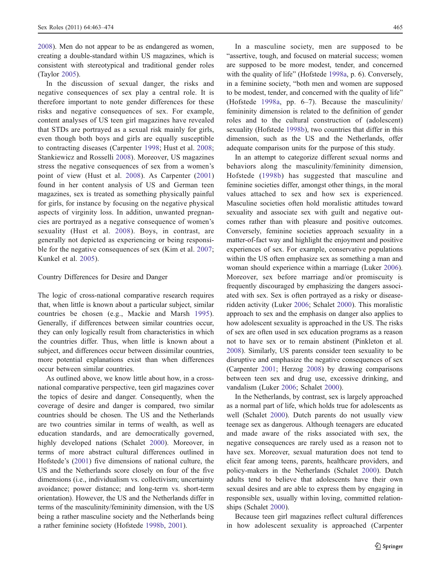[2008\)](#page-11-0). Men do not appear to be as endangered as women, creating a double-standard within US magazines, which is consistent with stereotypical and traditional gender roles (Taylor [2005](#page-11-0)).

In the discussion of sexual danger, the risks and negative consequences of sex play a central role. It is therefore important to note gender differences for these risks and negative consequences of sex. For example, content analyses of US teen girl magazines have revealed that STDs are portrayed as a sexual risk mainly for girls, even though both boys and girls are equally susceptible to contracting diseases (Carpenter [1998](#page-10-0); Hust et al. [2008](#page-10-0); Stankiewicz and Rosselli [2008\)](#page-11-0). Moreover, US magazines stress the negative consequences of sex from a women's point of view (Hust et al. [2008](#page-10-0)). As Carpenter ([2001\)](#page-10-0) found in her content analysis of US and German teen magazines, sex is treated as something physically painful for girls, for instance by focusing on the negative physical aspects of virginity loss. In addition, unwanted pregnancies are portrayed as a negative consequence of women's sexuality (Hust et al. [2008\)](#page-10-0). Boys, in contrast, are generally not depicted as experiencing or being responsible for the negative consequences of sex (Kim et al. [2007](#page-10-0); Kunkel et al. [2005](#page-10-0)).

## Country Differences for Desire and Danger

The logic of cross-national comparative research requires that, when little is known about a particular subject, similar countries be chosen (e.g., Mackie and Marsh [1995](#page-10-0)). Generally, if differences between similar countries occur, they can only logically result from characteristics in which the countries differ. Thus, when little is known about a subject, and differences occur between dissimilar countries, more potential explanations exist than when differences occur between similar countries.

As outlined above, we know little about how, in a crossnational comparative perspective, teen girl magazines cover the topics of desire and danger. Consequently, when the coverage of desire and danger is compared, two similar countries should be chosen. The US and the Netherlands are two countries similar in terms of wealth, as well as education standards, and are democratically governed, highly developed nations (Schalet [2000](#page-11-0)). Moreover, in terms of more abstract cultural differences outlined in Hofstede's [\(2001](#page-10-0)) five dimensions of national culture, the US and the Netherlands score closely on four of the five dimensions (i.e., individualism vs. collectivism; uncertainty avoidance; power distance; and long-term vs. short-term orientation). However, the US and the Netherlands differ in terms of the masculinity/femininity dimension, with the US being a rather masculine society and the Netherlands being a rather feminine society (Hofstede [1998b,](#page-10-0) [2001](#page-10-0)).

In a masculine society, men are supposed to be "assertive, tough, and focused on material success; women are supposed to be more modest, tender, and concerned with the quality of life" (Hofstede [1998a](#page-10-0), p. 6). Conversely, in a feminine society, "both men and women are supposed to be modest, tender, and concerned with the quality of life" (Hofstede [1998a,](#page-10-0) pp. 6–7). Because the masculinity/ femininity dimension is related to the definition of gender roles and to the cultural construction of (adolescent) sexuality (Hofstede [1998b\)](#page-10-0), two countries that differ in this dimension, such as the US and the Netherlands, offer adequate comparison units for the purpose of this study.

In an attempt to categorize different sexual norms and behaviors along the masculinity/femininity dimension, Hofstede ([1998b](#page-10-0)) has suggested that masculine and feminine societies differ, amongst other things, in the moral values attached to sex and how sex is experienced. Masculine societies often hold moralistic attitudes toward sexuality and associate sex with guilt and negative outcomes rather than with pleasure and positive outcomes. Conversely, feminine societies approach sexuality in a matter-of-fact way and highlight the enjoyment and positive experiences of sex. For example, conservative populations within the US often emphasize sex as something a man and woman should experience within a marriage (Luker [2006\)](#page-10-0). Moreover, sex before marriage and/or promiscuity is frequently discouraged by emphasizing the dangers associated with sex. Sex is often portrayed as a risky or diseaseridden activity (Luker [2006](#page-10-0); Schalet [2000](#page-11-0)). This moralistic approach to sex and the emphasis on danger also applies to how adolescent sexuality is approached in the US. The risks of sex are often used in sex education programs as a reason not to have sex or to remain abstinent (Pinkleton et al. [2008](#page-10-0)). Similarly, US parents consider teen sexuality to be disruptive and emphasize the negative consequences of sex (Carpenter [2001;](#page-10-0) Herzog [2008](#page-10-0)) by drawing comparisons between teen sex and drug use, excessive drinking, and vandalism (Luker [2006](#page-10-0); Schalet [2000](#page-11-0)).

In the Netherlands, by contrast, sex is largely approached as a normal part of life, which holds true for adolescents as well (Schalet [2000](#page-11-0)). Dutch parents do not usually view teenage sex as dangerous. Although teenagers are educated and made aware of the risks associated with sex, the negative consequences are rarely used as a reason not to have sex. Moreover, sexual maturation does not tend to elicit fear among teens, parents, healthcare providers, and policy-makers in the Netherlands (Schalet [2000\)](#page-11-0). Dutch adults tend to believe that adolescents have their own sexual desires and are able to express them by engaging in responsible sex, usually within loving, committed relationships (Schalet [2000](#page-11-0)).

Because teen girl magazines reflect cultural differences in how adolescent sexuality is approached (Carpenter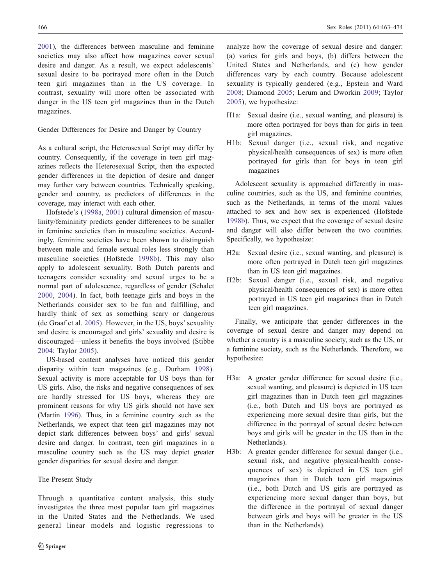[2001\)](#page-10-0), the differences between masculine and feminine societies may also affect how magazines cover sexual desire and danger. As a result, we expect adolescents' sexual desire to be portrayed more often in the Dutch teen girl magazines than in the US coverage. In contrast, sexuality will more often be associated with danger in the US teen girl magazines than in the Dutch magazines.

# Gender Differences for Desire and Danger by Country

As a cultural script, the Heterosexual Script may differ by country. Consequently, if the coverage in teen girl magazines reflects the Heterosexual Script, then the expected gender differences in the depiction of desire and danger may further vary between countries. Technically speaking, gender and country, as predictors of differences in the coverage, may interact with each other.

Hofstede's ([1998a](#page-10-0), [2001](#page-10-0)) cultural dimension of masculinity/femininity predicts gender differences to be smaller in feminine societies than in masculine societies. Accordingly, feminine societies have been shown to distinguish between male and female sexual roles less strongly than masculine societies (Hofstede [1998b](#page-10-0)). This may also apply to adolescent sexuality. Both Dutch parents and teenagers consider sexuality and sexual urges to be a normal part of adolescence, regardless of gender (Schalet [2000](#page-11-0), [2004\)](#page-11-0). In fact, both teenage girls and boys in the Netherlands consider sex to be fun and fulfilling, and hardly think of sex as something scary or dangerous (de Graaf et al. [2005](#page-10-0)). However, in the US, boys' sexuality and desire is encouraged and girls' sexuality and desire is discouraged—unless it benefits the boys involved (Stibbe [2004](#page-11-0); Taylor [2005](#page-11-0)).

US-based content analyses have noticed this gender disparity within teen magazines (e.g., Durham [1998](#page-10-0)). Sexual activity is more acceptable for US boys than for US girls. Also, the risks and negative consequences of sex are hardly stressed for US boys, whereas they are prominent reasons for why US girls should not have sex (Martin [1996\)](#page-10-0). Thus, in a feminine country such as the Netherlands, we expect that teen girl magazines may not depict stark differences between boys' and girls' sexual desire and danger. In contrast, teen girl magazines in a masculine country such as the US may depict greater gender disparities for sexual desire and danger.

## The Present Study

Through a quantitative content analysis, this study investigates the three most popular teen girl magazines in the United States and the Netherlands. We used general linear models and logistic regressions to analyze how the coverage of sexual desire and danger: (a) varies for girls and boys, (b) differs between the United States and Netherlands, and (c) how gender differences vary by each country. Because adolescent sexuality is typically gendered (e.g., Epstein and Ward [2008;](#page-10-0) Diamond [2005](#page-10-0); Lerum and Dworkin [2009](#page-10-0); Taylor [2005\)](#page-11-0), we hypothesize:

- H1a: Sexual desire (i.e., sexual wanting, and pleasure) is more often portrayed for boys than for girls in teen girl magazines.
- H1b: Sexual danger (i.e., sexual risk, and negative physical/health consequences of sex) is more often portrayed for girls than for boys in teen girl magazines

Adolescent sexuality is approached differently in masculine countries, such as the US, and feminine countries, such as the Netherlands, in terms of the moral values attached to sex and how sex is experienced (Hofstede [1998b](#page-10-0)). Thus, we expect that the coverage of sexual desire and danger will also differ between the two countries. Specifically, we hypothesize:

- H2a: Sexual desire (i.e., sexual wanting, and pleasure) is more often portrayed in Dutch teen girl magazines than in US teen girl magazines.
- H2b: Sexual danger (i.e., sexual risk, and negative physical/health consequences of sex) is more often portrayed in US teen girl magazines than in Dutch teen girl magazines.

Finally, we anticipate that gender differences in the coverage of sexual desire and danger may depend on whether a country is a masculine society, such as the US, or a feminine society, such as the Netherlands. Therefore, we hypothesize:

- H3a: A greater gender difference for sexual desire (i.e., sexual wanting, and pleasure) is depicted in US teen girl magazines than in Dutch teen girl magazines (i.e., both Dutch and US boys are portrayed as experiencing more sexual desire than girls, but the difference in the portrayal of sexual desire between boys and girls will be greater in the US than in the Netherlands).
- H3b: A greater gender difference for sexual danger (i.e., sexual risk, and negative physical/health consequences of sex) is depicted in US teen girl magazines than in Dutch teen girl magazines (i.e., both Dutch and US girls are portrayed as experiencing more sexual danger than boys, but the difference in the portrayal of sexual danger between girls and boys will be greater in the US than in the Netherlands).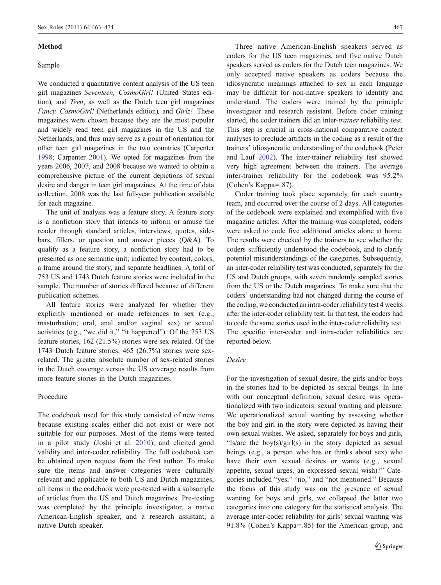#### Method

## Sample

We conducted a quantitative content analysis of the US teen girl magazines Seventeen, CosmoGirl! (United States edition), and Teen, as well as the Dutch teen girl magazines Fancy, CosmoGirl! (Netherlands edition), and Girlz!. These magazines were chosen because they are the most popular and widely read teen girl magazines in the US and the Netherlands, and thus may serve as a point of orientation for other teen girl magazines in the two countries (Carpenter [1998;](#page-10-0) Carpenter [2001\)](#page-10-0). We opted for magazines from the years 2006, 2007, and 2008 because we wanted to obtain a comprehensive picture of the current depictions of sexual desire and danger in teen girl magazines. At the time of data collection, 2008 was the last full-year publication available for each magazine.

The unit of analysis was a feature story. A feature story is a nonfiction story that intends to inform or amuse the reader through standard articles, interviews, quotes, sidebars, fillers, or question and answer pieces (Q&A). To qualify as a feature story, a nonfiction story had to be presented as one semantic unit; indicated by content, colors, a frame around the story, and separate headlines. A total of 753 US and 1743 Dutch feature stories were included in the sample. The number of stories differed because of different publication schemes.

All feature stories were analyzed for whether they explicitly mentioned or made references to sex (e.g., masturbation; oral, anal and/or vaginal sex) or sexual activities (e.g., "we did it," "it happened"). Of the 753 US feature stories, 162 (21.5%) stories were sex-related. Of the 1743 Dutch feature stories, 465 (26.7%) stories were sexrelated. The greater absolute number of sex-related stories in the Dutch coverage versus the US coverage results from more feature stories in the Dutch magazines.

# Procedure

The codebook used for this study consisted of new items because existing scales either did not exist or were not suitable for our purposes. Most of the items were tested in a pilot study (Joshi et al. [2010\)](#page-10-0), and elicited good validity and inter-coder reliability. The full codebook can be obtained upon request from the first author. To make sure the items and answer categories were culturally relevant and applicable to both US and Dutch magazines, all items in the codebook were pre-tested with a subsample of articles from the US and Dutch magazines. Pre-testing was completed by the principle investigator, a native American-English speaker, and a research assistant, a native Dutch speaker.

Three native American-English speakers served as coders for the US teen magazines, and five native Dutch speakers served as coders for the Dutch teen magazines. We only accepted native speakers as coders because the idiosyncratic meanings attached to sex in each language may be difficult for non-native speakers to identify and understand. The coders were trained by the principle investigator and research assistant. Before coder training started, the coder trainers did an inter-trainer reliability test. This step is crucial in cross-national comparative content analyses to preclude artifacts in the coding as a result of the trainers' idiosyncratic understanding of the codebook (Peter and Lauf [2002](#page-10-0)). The inter-trainer reliability test showed very high agreement between the trainers. The average inter-trainer reliability for the codebook was 95.2% (Cohen's Kappa=.87).

Coder training took place separately for each country team, and occurred over the course of 2 days. All categories of the codebook were explained and exemplified with five magazine articles. After the training was completed, coders were asked to code five additional articles alone at home. The results were checked by the trainers to see whether the coders sufficiently understood the codebook, and to clarify potential misunderstandings of the categories. Subsequently, an inter-coder reliability test was conducted, separately for the US and Dutch groups, with seven randomly sampled stories from the US or the Dutch magazines. To make sure that the coders' understanding had not changed during the course of the coding, we conducted an intra-coder reliability test 4 weeks after the inter-coder reliability test. In that test, the coders had to code the same stories used in the inter-coder reliability test. The specific inter-coder and intra-coder reliabilities are reported below.

# Desire

For the investigation of sexual desire, the girls and/or boys in the stories had to be depicted as sexual beings. In line with our conceptual definition, sexual desire was operationalized with two indicators: sexual wanting and pleasure. We operationalized sexual wanting by assessing whether the boy and girl in the story were depicted as having their own sexual wishes. We asked, separately for boys and girls, "Is/are the boy(s)/girl(s) in the story depicted as sexual beings (e.g., a person who has or thinks about sex) who have their own sexual desires or wants (e.g., sexual appetite, sexual urges, an expressed sexual wish)?" Categories included "yes," "no," and "not mentioned." Because the focus of this study was on the presence of sexual wanting for boys and girls, we collapsed the latter two categories into one category for the statistical analysis. The average inter-coder reliability for girls' sexual wanting was 91.8% (Cohen's Kappa=.85) for the American group, and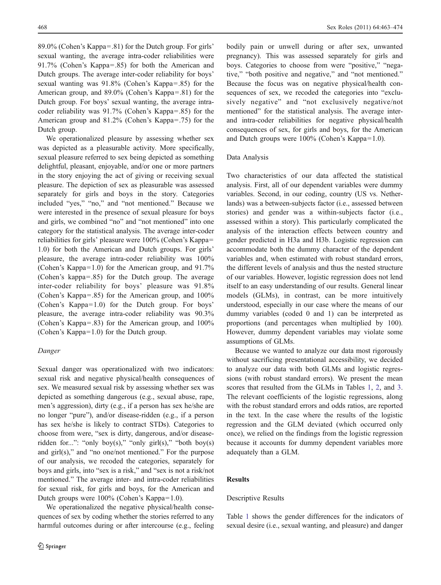89.0% (Cohen's Kappa=.81) for the Dutch group. For girls' sexual wanting, the average intra-coder reliabilities were 91.7% (Cohen's Kappa=.85) for both the American and Dutch groups. The average inter-coder reliability for boys' sexual wanting was 91.8% (Cohen's Kappa=.85) for the American group, and 89.0% (Cohen's Kappa=.81) for the Dutch group. For boys' sexual wanting, the average intracoder reliability was 91.7% (Cohen's Kappa=.85) for the American group and 81.2% (Cohen's Kappa=.75) for the Dutch group.

We operationalized pleasure by assessing whether sex was depicted as a pleasurable activity. More specifically, sexual pleasure referred to sex being depicted as something delightful, pleasant, enjoyable, and/or one or more partners in the story enjoying the act of giving or receiving sexual pleasure. The depiction of sex as pleasurable was assessed separately for girls and boys in the story. Categories included "yes," "no," and "not mentioned." Because we were interested in the presence of sexual pleasure for boys and girls, we combined "no" and "not mentioned" into one category for the statistical analysis. The average inter-coder reliabilities for girls' pleasure were 100% (Cohen's Kappa= 1.0) for both the American and Dutch groups. For girls' pleasure, the average intra-coder reliability was 100% (Cohen's Kappa=1.0) for the American group, and 91.7% (Cohen's kappa=.85) for the Dutch group. The average inter-coder reliability for boys' pleasure was 91.8% (Cohen's Kappa=.85) for the American group, and 100% (Cohen's Kappa=1.0) for the Dutch group. For boys' pleasure, the average intra-coder reliability was 90.3% (Cohen's Kappa=.83) for the American group, and 100% (Cohen's Kappa=1.0) for the Dutch group.

# Danger

Sexual danger was operationalized with two indicators: sexual risk and negative physical/health consequences of sex. We measured sexual risk by assessing whether sex was depicted as something dangerous (e.g., sexual abuse, rape, men's aggression), dirty (e.g., if a person has sex he/she are no longer "pure"), and/or disease-ridden (e.g., if a person has sex he/she is likely to contract STDs). Categories to choose from were, "sex is dirty, dangerous, and/or diseaseridden for...": "only boy(s)," "only girl(s)," "both boy(s) and girl(s)," and "no one/not mentioned." For the purpose of our analysis, we recoded the categories, separately for boys and girls, into "sex is a risk," and "sex is not a risk/not mentioned." The average inter- and intra-coder reliabilities for sexual risk, for girls and boys, for the American and Dutch groups were 100% (Cohen's Kappa=1.0).

We operationalized the negative physical/health consequences of sex by coding whether the stories referred to any harmful outcomes during or after intercourse (e.g., feeling

bodily pain or unwell during or after sex, unwanted pregnancy). This was assessed separately for girls and boys. Categories to choose from were "positive," "negative," "both positive and negative," and "not mentioned." Because the focus was on negative physical/health consequences of sex, we recoded the categories into "exclusively negative" and "not exclusively negative/not mentioned" for the statistical analysis. The average interand intra-coder reliabilities for negative physical/health consequences of sex, for girls and boys, for the American and Dutch groups were 100% (Cohen's Kappa=1.0).

## Data Analysis

Two characteristics of our data affected the statistical analysis. First, all of our dependent variables were dummy variables. Second, in our coding, country (US vs. Netherlands) was a between-subjects factor (i.e., assessed between stories) and gender was a within-subjects factor (i.e., assessed within a story). This particularly complicated the analysis of the interaction effects between country and gender predicted in H3a and H3b. Logistic regression can accommodate both the dummy character of the dependent variables and, when estimated with robust standard errors, the different levels of analysis and thus the nested structure of our variables. However, logistic regression does not lend itself to an easy understanding of our results. General linear models (GLMs), in contrast, can be more intuitively understood, especially in our case where the means of our dummy variables (coded 0 and 1) can be interpreted as proportions (and percentages when multiplied by 100). However, dummy dependent variables may violate some assumptions of GLMs.

Because we wanted to analyze our data most rigorously without sacrificing presentational accessibility, we decided to analyze our data with both GLMs and logistic regressions (with robust standard errors). We present the mean scores that resulted from the GLMs in Tables [1](#page-6-0), [2,](#page-6-0) and [3.](#page-6-0) The relevant coefficients of the logistic regressions, along with the robust standard errors and odds ratios, are reported in the text. In the case where the results of the logistic regression and the GLM deviated (which occurred only once), we relied on the findings from the logistic regression because it accounts for dummy dependent variables more adequately than a GLM.

## Results

## Descriptive Results

Table [1](#page-6-0) shows the gender differences for the indicators of sexual desire (i.e., sexual wanting, and pleasure) and danger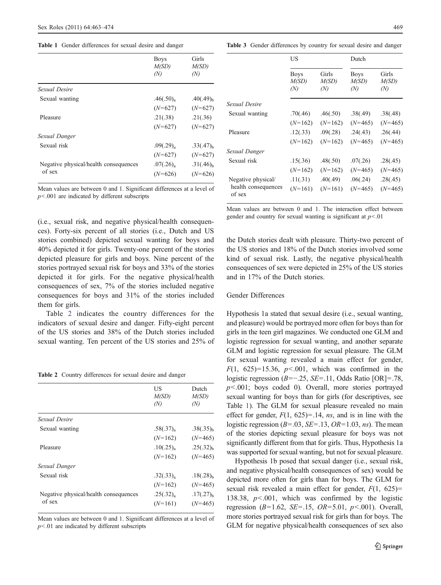<span id="page-6-0"></span>Table 1 Gender differences for sexual desire and danger

|                                       | <b>Boys</b><br>M(SD)<br>(N) | Girls<br>M(SD)<br>(N) |
|---------------------------------------|-----------------------------|-----------------------|
| Sexual Desire                         |                             |                       |
| Sexual wanting                        | $.46(.50)_{\rm a}$          | $.40(.49)_{h}$        |
|                                       | $(N=627)$                   | $(N=627)$             |
| Pleasure                              | .21(.38)                    | .21(.36)              |
|                                       | $(N=627)$                   | $(N=627)$             |
| Sexual Danger                         |                             |                       |
| Sexual risk                           | $.09(.29)_{\rm a}$          | $.33(.47)_{h}$        |
|                                       | $(N=627)$                   | $(N=627)$             |
| Negative physical/health consequences | $.07(.26)_{\rm a}$          | $.31(.46)_{h}$        |
| of sex                                | $(N=626)$                   | $(N=626)$             |

Mean values are between 0 and 1. Significant differences at a level of  $p$ <.001 are indicated by different subscripts

(i.e., sexual risk, and negative physical/health consequences). Forty-six percent of all stories (i.e., Dutch and US stories combined) depicted sexual wanting for boys and 40% depicted it for girls. Twenty-one percent of the stories depicted pleasure for girls and boys. Nine percent of the stories portrayed sexual risk for boys and 33% of the stories depicted it for girls. For the negative physical/health consequences of sex, 7% of the stories included negative consequences for boys and 31% of the stories included them for girls.

Table 2 indicates the country differences for the indicators of sexual desire and danger. Fifty-eight percent of the US stories and 38% of the Dutch stories included sexual wanting. Ten percent of the US stories and 25% of

Table 2 Country differences for sexual desire and danger

|                                       | US<br>M(SD)<br>(N) | Dutch<br>M(SD)<br>(N) |
|---------------------------------------|--------------------|-----------------------|
| Sexual Desire                         |                    |                       |
| Sexual wanting                        | $.58(.37)_{\rm a}$ | $.38(.35)_{h}$        |
|                                       | $(N=162)$          | $(N=465)$             |
| Pleasure                              | .10(.25)           | $.25(.32)_{h}$        |
|                                       | $(N=162)$          | $(N=465)$             |
| Sexual Danger                         |                    |                       |
| Sexual risk                           | $.32(.33)_{\rm a}$ | $.18(.28)_{h}$        |
|                                       | $(N=162)$          | $(N=465)$             |
| Negative physical/health consequences | $.25(.32)_{\rm a}$ | $.17(.27)_{h}$        |
| of sex                                | $(N=161)$          | $(N=465)$             |
|                                       |                    |                       |

Mean values are between 0 and 1. Significant differences at a level of  $p<01$  are indicated by different subscripts

Table 3 Gender differences by country for sexual desire and danger

|                               | US                          |                       | Dutch                       |                       |
|-------------------------------|-----------------------------|-----------------------|-----------------------------|-----------------------|
|                               | <b>Boys</b><br>M(SD)<br>(N) | Girls<br>M(SD)<br>(N) | <b>Boys</b><br>M(SD)<br>(N) | Girls<br>M(SD)<br>(N) |
| Sexual Desire                 |                             |                       |                             |                       |
| Sexual wanting                | .70(.46)                    | .46(.50)              | .38(.49)                    | .38(.48)              |
|                               | $(N=162)$                   | $(N=162)$             | $(N=465)$                   | $(N=465)$             |
| Pleasure                      | .12(.33)                    | .09(.28)              | .24(.43)                    | .26(.44)              |
|                               | $(N=162)$                   | $(N=162)$             | $(N=465)$                   | $(N=465)$             |
| Sexual Danger                 |                             |                       |                             |                       |
| Sexual risk                   | .15(.36)                    | .48(.50)              | .07(.26)                    | .28(.45)              |
|                               | $(N=162)$                   | $(N=162)$             | $(N=465)$                   | $(N=465)$             |
| Negative physical/            | .11(.31)                    | .40(.49)              | .06(.24)                    | .28(.45)              |
| health consequences<br>of sex | $(N=161)$                   | $(N=161)$             | $(N=465)$                   | $(N=465)$             |

Mean values are between 0 and 1. The interaction effect between gender and country for sexual wanting is significant at  $p < 01$ 

the Dutch stories dealt with pleasure. Thirty-two percent of the US stories and 18% of the Dutch stories involved some kind of sexual risk. Lastly, the negative physical/health consequences of sex were depicted in 25% of the US stories and in 17% of the Dutch stories.

# Gender Differences

Hypothesis 1a stated that sexual desire (i.e., sexual wanting, and pleasure) would be portrayed more often for boys than for girls in the teen girl magazines. We conducted one GLM and logistic regression for sexual wanting, and another separate GLM and logistic regression for sexual pleasure. The GLM for sexual wanting revealed a main effect for gender,  $F(1, 625)=15.36$ ,  $p<.001$ , which was confirmed in the logistic regression (B=−.25, SE=.11, Odds Ratio [OR]=.78,  $p$ <.001; boys coded 0). Overall, more stories portrayed sexual wanting for boys than for girls (for descriptives, see Table 1). The GLM for sexual pleasure revealed no main effect for gender,  $F(1, 625)=.14$ , *ns*, and is in line with the logistic regression  $(B=.03, SE=.13, OR=1.03, ns)$ . The mean of the stories depicting sexual pleasure for boys was not significantly different from that for girls. Thus, Hypothesis 1a was supported for sexual wanting, but not for sexual pleasure.

Hypothesis 1b posed that sexual danger (i.e., sexual risk, and negative physical/health consequences of sex) would be depicted more often for girls than for boys. The GLM for sexual risk revealed a main effect for gender,  $F(1, 625)$ = 138.38,  $p<0.001$ , which was confirmed by the logistic regression ( $B=1.62$ ,  $SE=.15$ ,  $OR=5.01$ ,  $p<.001$ ). Overall, more stories portrayed sexual risk for girls than for boys. The GLM for negative physical/health consequences of sex also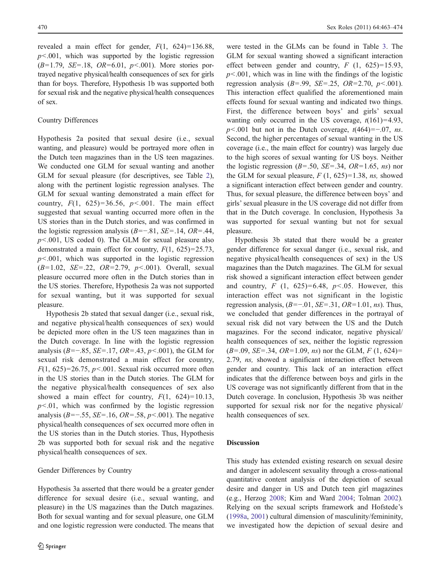revealed a main effect for gender,  $F(1, 624)=136.88$ ,  $p$ <.001, which was supported by the logistic regression  $(B=1.79, SE=.18, OR=.01, p<.001)$ . More stories portrayed negative physical/health consequences of sex for girls than for boys. Therefore, Hypothesis 1b was supported both for sexual risk and the negative physical/health consequences of sex.

# Country Differences

Hypothesis 2a posited that sexual desire (i.e., sexual wanting, and pleasure) would be portrayed more often in the Dutch teen magazines than in the US teen magazines. We conducted one GLM for sexual wanting and another GLM for sexual pleasure (for descriptives, see Table [2](#page-6-0)), along with the pertinent logistic regression analyses. The GLM for sexual wanting demonstrated a main effect for country,  $F(1, 625)=36.56$ ,  $p<.001$ . The main effect suggested that sexual wanting occurred more often in the US stories than in the Dutch stories, and was confirmed in the logistic regression analysis  $(B=-.81, SE=.14, OR=.44,$  $p$ <.001, US coded 0). The GLM for sexual pleasure also demonstrated a main effect for country,  $F(1, 625)=25.73$ ,  $p<.001$ , which was supported in the logistic regression  $(B=1.02, SE=.22, OR=.2.79, p<.001)$ . Overall, sexual pleasure occurred more often in the Dutch stories than in the US stories. Therefore, Hypothesis 2a was not supported for sexual wanting, but it was supported for sexual pleasure.

Hypothesis 2b stated that sexual danger (i.e., sexual risk, and negative physical/health consequences of sex) would be depicted more often in the US teen magazines than in the Dutch coverage. In line with the logistic regression analysis ( $B=-.85$ ,  $SE=.17$ ,  $OR=.43$ ,  $p<.001$ ), the GLM for sexual risk demonstrated a main effect for country,  $F(1, 625)=26.75$ ,  $p<.001$ . Sexual risk occurred more often in the US stories than in the Dutch stories. The GLM for the negative physical/health consequences of sex also showed a main effect for country,  $F(1, 624)=10.13$ ,  $p<0.01$ , which was confirmed by the logistic regression analysis (B=−.55, SE=.16, OR=.58,  $p$ <.001). The negative physical/health consequences of sex occurred more often in the US stories than in the Dutch stories. Thus, Hypothesis 2b was supported both for sexual risk and the negative physical/health consequences of sex.

## Gender Differences by Country

Hypothesis 3a asserted that there would be a greater gender difference for sexual desire (i.e., sexual wanting, and pleasure) in the US magazines than the Dutch magazines. Both for sexual wanting and for sexual pleasure, one GLM and one logistic regression were conducted. The means that were tested in the GLMs can be found in Table [3.](#page-6-0) The GLM for sexual wanting showed a significant interaction effect between gender and country,  $F(1, 625)=15.93$ ,  $p<.001$ , which was in line with the findings of the logistic regression analysis  $(B=0.99, SE=.25, OR=.270, p<0.001)$ . This interaction effect qualified the aforementioned main effects found for sexual wanting and indicated two things. First, the difference between boys' and girls' sexual wanting only occurred in the US coverage,  $t(161)=4.93$ ,  $p$ <.001 but not in the Dutch coverage,  $t(464) = -.07$ , ns. Second, the higher percentages of sexual wanting in the US coverage (i.e., the main effect for country) was largely due to the high scores of sexual wanting for US boys. Neither the logistic regression  $(B=.50, SE=.34, OR=.1.65, ns)$  nor the GLM for sexual pleasure,  $F(1, 625)=1.38$ , ns, showed a significant interaction effect between gender and country. Thus, for sexual pleasure, the difference between boys' and girls' sexual pleasure in the US coverage did not differ from that in the Dutch coverage. In conclusion, Hypothesis 3a was supported for sexual wanting but not for sexual pleasure.

Hypothesis 3b stated that there would be a greater gender difference for sexual danger (i.e., sexual risk, and negative physical/health consequences of sex) in the US magazines than the Dutch magazines. The GLM for sexual risk showed a significant interaction effect between gender and country,  $F(1, 625)=6.48, p<0.05$ . However, this interaction effect was not significant in the logistic regression analysis,  $(B=-.01, SE=.31, OR=1.01, ns)$ . Thus, we concluded that gender differences in the portrayal of sexual risk did not vary between the US and the Dutch magazines. For the second indicator, negative physical/ health consequences of sex, neither the logistic regression  $(B=.09, SE=.34, OR=1.09, ns)$  nor the GLM,  $F(1, 624)$ = 2.79, ns, showed a significant interaction effect between gender and country. This lack of an interaction effect indicates that the difference between boys and girls in the US coverage was not significantly different from that in the Dutch coverage. In conclusion, Hypothesis 3b was neither supported for sexual risk nor for the negative physical/ health consequences of sex.

# Discussion

This study has extended existing research on sexual desire and danger in adolescent sexuality through a cross-national quantitative content analysis of the depiction of sexual desire and danger in US and Dutch teen girl magazines (e.g., Herzog [2008;](#page-10-0) Kim and Ward [2004](#page-10-0); Tolman [2002\)](#page-11-0). Relying on the sexual scripts framework and Hofstede's [\(1998a,](#page-10-0) [2001\)](#page-10-0) cultural dimension of masculinity/femininity, we investigated how the depiction of sexual desire and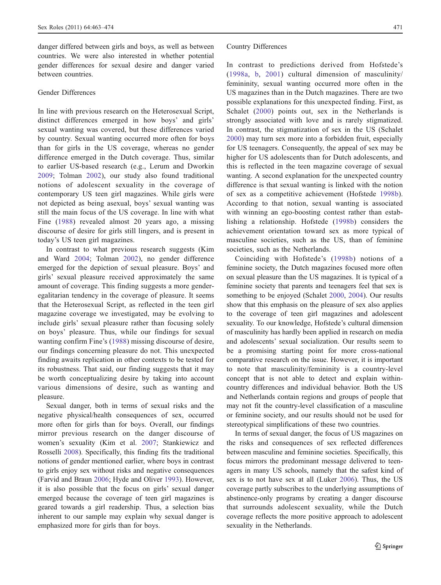danger differed between girls and boys, as well as between countries. We were also interested in whether potential gender differences for sexual desire and danger varied between countries.

## Gender Differences

In line with previous research on the Heterosexual Script, distinct differences emerged in how boys' and girls' sexual wanting was covered, but these differences varied by country. Sexual wanting occurred more often for boys than for girls in the US coverage, whereas no gender difference emerged in the Dutch coverage. Thus, similar to earlier US-based research (e.g., Lerum and Dworkin [2009](#page-10-0); Tolman [2002\)](#page-11-0), our study also found traditional notions of adolescent sexuality in the coverage of contemporary US teen girl magazines. While girls were not depicted as being asexual, boys' sexual wanting was still the main focus of the US coverage. In line with what Fine [\(1988\)](#page-10-0) revealed almost 20 years ago, a missing discourse of desire for girls still lingers, and is present in today's US teen girl magazines.

In contrast to what previous research suggests (Kim and Ward [2004](#page-10-0); Tolman [2002\)](#page-11-0), no gender difference emerged for the depiction of sexual pleasure. Boys' and girls' sexual pleasure received approximately the same amount of coverage. This finding suggests a more genderegalitarian tendency in the coverage of pleasure. It seems that the Heterosexual Script, as reflected in the teen girl magazine coverage we investigated, may be evolving to include girls' sexual pleasure rather than focusing solely on boys' pleasure. Thus, while our findings for sexual wanting confirm Fine's ([1988](#page-10-0)) missing discourse of desire, our findings concerning pleasure do not. This unexpected finding awaits replication in other contexts to be tested for its robustness. That said, our finding suggests that it may be worth conceptualizing desire by taking into account various dimensions of desire, such as wanting and pleasure.

Sexual danger, both in terms of sexual risks and the negative physical/health consequences of sex, occurred more often for girls than for boys. Overall, our findings mirror previous research on the danger discourse of women's sexuality (Kim et al. [2007](#page-10-0); Stankiewicz and Rosselli [2008](#page-11-0)). Specifically, this finding fits the traditional notions of gender mentioned earlier, where boys in contrast to girls enjoy sex without risks and negative consequences (Farvid and Braun [2006](#page-10-0); Hyde and Oliver [1993](#page-10-0)). However, it is also possible that the focus on girls' sexual danger emerged because the coverage of teen girl magazines is geared towards a girl readership. Thus, a selection bias inherent to our sample may explain why sexual danger is emphasized more for girls than for boys.

#### Country Differences

In contrast to predictions derived from Hofstede's ([1998a](#page-10-0), [b,](#page-10-0) [2001\)](#page-10-0) cultural dimension of masculinity/ femininity, sexual wanting occurred more often in the US magazines than in the Dutch magazines. There are two possible explanations for this unexpected finding. First, as Schalet ([2000](#page-11-0)) points out, sex in the Netherlands is strongly associated with love and is rarely stigmatized. In contrast, the stigmatization of sex in the US (Schalet [2000](#page-11-0)) may turn sex more into a forbidden fruit, especially for US teenagers. Consequently, the appeal of sex may be higher for US adolescents than for Dutch adolescents, and this is reflected in the teen magazine coverage of sexual wanting. A second explanation for the unexpected country difference is that sexual wanting is linked with the notion of sex as a competitive achievement (Hofstede [1998b](#page-10-0)). According to that notion, sexual wanting is associated with winning an ego-boosting contest rather than establishing a relationship. Hofstede ([1998b](#page-10-0)) considers the achievement orientation toward sex as more typical of masculine societies, such as the US, than of feminine societies, such as the Netherlands.

Coinciding with Hofstede's ([1998b](#page-10-0)) notions of a feminine society, the Dutch magazines focused more often on sexual pleasure than the US magazines. It is typical of a feminine society that parents and teenagers feel that sex is something to be enjoyed (Schalet [2000,](#page-11-0) [2004\)](#page-11-0). Our results show that this emphasis on the pleasure of sex also applies to the coverage of teen girl magazines and adolescent sexuality. To our knowledge, Hofstede's cultural dimension of masculinity has hardly been applied in research on media and adolescents' sexual socialization. Our results seem to be a promising starting point for more cross-national comparative research on the issue. However, it is important to note that masculinity/femininity is a country-level concept that is not able to detect and explain withincountry differences and individual behavior. Both the US and Netherlands contain regions and groups of people that may not fit the country-level classification of a masculine or feminine society, and our results should not be used for stereotypical simplifications of these two countries.

In terms of sexual danger, the focus of US magazines on the risks and consequences of sex reflected differences between masculine and feminine societies. Specifically, this focus mirrors the predominant message delivered to teenagers in many US schools, namely that the safest kind of sex is to not have sex at all (Luker [2006](#page-10-0)). Thus, the US coverage partly subscribes to the underlying assumptions of abstinence-only programs by creating a danger discourse that surrounds adolescent sexuality, while the Dutch coverage reflects the more positive approach to adolescent sexuality in the Netherlands.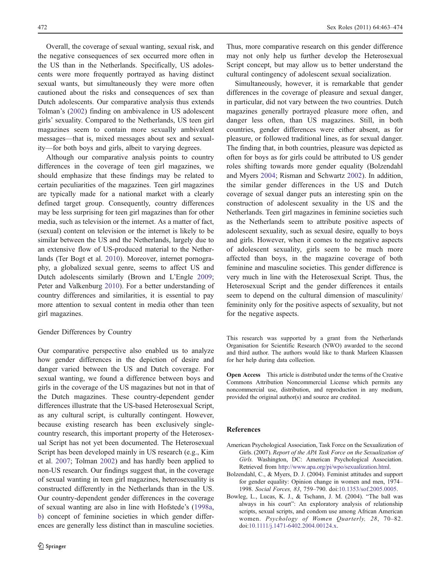<span id="page-9-0"></span>Overall, the coverage of sexual wanting, sexual risk, and the negative consequences of sex occurred more often in the US than in the Netherlands. Specifically, US adolescents were more frequently portrayed as having distinct sexual wants, but simultaneously they were more often cautioned about the risks and consequences of sex than Dutch adolescents. Our comparative analysis thus extends Tolman's [\(2002](#page-11-0)) finding on ambivalence in US adolescent girls' sexuality. Compared to the Netherlands, US teen girl magazines seem to contain more sexually ambivalent messages—that is, mixed messages about sex and sexuality—for both boys and girls, albeit to varying degrees.

Although our comparative analysis points to country differences in the coverage of teen girl magazines, we should emphasize that these findings may be related to certain peculiarities of the magazines. Teen girl magazines are typically made for a national market with a clearly defined target group. Consequently, country differences may be less surprising for teen girl magazines than for other media, such as television or the internet. As a matter of fact, (sexual) content on television or the internet is likely to be similar between the US and the Netherlands, largely due to an extensive flow of US-produced material to the Netherlands (Ter Bogt et al. [2010](#page-11-0)). Moreover, internet pornography, a globalized sexual genre, seems to affect US and Dutch adolescents similarly (Brown and L'Engle [2009](#page-10-0); Peter and Valkenburg [2010](#page-10-0)). For a better understanding of country differences and similarities, it is essential to pay more attention to sexual content in media other than teen girl magazines.

# Gender Differences by Country

Our comparative perspective also enabled us to analyze how gender differences in the depiction of desire and danger varied between the US and Dutch coverage. For sexual wanting, we found a difference between boys and girls in the coverage of the US magazines but not in that of the Dutch magazines. These country-dependent gender differences illustrate that the US-based Heterosexual Script, as any cultural script, is culturally contingent. However, because existing research has been exclusively singlecountry research, this important property of the Heterosexual Script has not yet been documented. The Heterosexual Script has been developed mainly in US research (e.g., Kim et al. [2007](#page-10-0); Tolman [2002](#page-11-0)) and has hardly been applied to non-US research. Our findings suggest that, in the coverage of sexual wanting in teen girl magazines, heterosexuality is constructed differently in the Netherlands than in the US. Our country-dependent gender differences in the coverage of sexual wanting are also in line with Hofstede's [\(1998a,](#page-10-0) [b](#page-10-0)) concept of feminine societies in which gender differences are generally less distinct than in masculine societies.

Thus, more comparative research on this gender difference may not only help us further develop the Heterosexual Script concept, but may allow us to better understand the cultural contingency of adolescent sexual socialization.

Simultaneously, however, it is remarkable that gender differences in the coverage of pleasure and sexual danger, in particular, did not vary between the two countries. Dutch magazines generally portrayed pleasure more often, and danger less often, than US magazines. Still, in both countries, gender differences were either absent, as for pleasure, or followed traditional lines, as for sexual danger. The finding that, in both countries, pleasure was depicted as often for boys as for girls could be attributed to US gender roles shifting towards more gender equality (Bolzendahl and Myers 2004; Risman and Schwartz [2002\)](#page-11-0). In addition, the similar gender differences in the US and Dutch coverage of sexual danger puts an interesting spin on the construction of adolescent sexuality in the US and the Netherlands. Teen girl magazines in feminine societies such as the Netherlands seem to attribute positive aspects of adolescent sexuality, such as sexual desire, equally to boys and girls. However, when it comes to the negative aspects of adolescent sexuality, girls seem to be much more affected than boys, in the magazine coverage of both feminine and masculine societies. This gender difference is very much in line with the Heterosexual Script. Thus, the Heterosexual Script and the gender differences it entails seem to depend on the cultural dimension of masculinity/ femininity only for the positive aspects of sexuality, but not for the negative aspects.

This research was supported by a grant from the Netherlands Organisation for Scientific Research (NWO) awarded to the second and third author. The authors would like to thank Marleen Klaassen for her help during data collection.

Open Access This article is distributed under the terms of the Creative Commons Attribution Noncommercial License which permits any noncommercial use, distribution, and reproduction in any medium, provided the original author(s) and source are credited.

## References

- American Psychological Association, Task Force on the Sexualization of Girls. (2007). Report of the APA Task Force on the Sexualization of Girls. Washington, DC: American Psychological Association. Retrieved from <http://www.apa.org/pi/wpo/sexualization.html>.
- Bolzendahl, C., & Myers, D. J. (2004). Feminist attitudes and support for gender equality: Opinion change in women and men, 1974– 1998. Social Forces, 83, 759–790. doi:[10.1353/sof.2005.0005.](http://dx.doi.org/10.1353/sof.2005.0005)
- Bowleg, L., Lucas, K. J., & Tschann, J. M. (2004). "The ball was always in his court": An exploratory analysis of relationship scripts, sexual scripts, and condom use among African American women. Psychology of Women Quarterly, 28, 70–82. doi[:10.1111/j.1471-6402.2004.00124.x.](http://dx.doi.org/10.1111/j.1471-6402.2004.00124.x)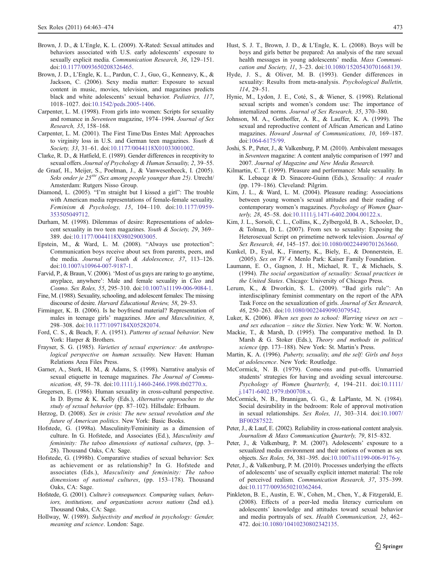- <span id="page-10-0"></span>Brown, J. D., & L'Engle, K. L. (2009). X-Rated: Sexual attitudes and behaviors associated with U.S. early adolescents' exposure to sexually explicit media. Communication Research, 36, 129–151. doi[:10.1177/0093650208326465](http://dx.doi.org/10.1177/0093650208326465).
- Brown, J. D., L'Engle, K. L., Pardun, C. J., Guo, G., Kenneavy, K., & Jackson, C. (2006). Sexy media matter: Exposure to sexual content in music, movies, television, and magazines predicts black and white adolescents' sexual behavior. Pediatrics, 117, 1018–1027. doi[:10.1542/peds.2005-1406](http://dx.doi.org/10.1542/peds.2005-1406).
- Carpenter, L. M. (1998). From girls into women: Scripts for sexuality and romance in Seventeen magazine, 1974–1994. Journal of Sex Research, 35, 158–168.
- Carpenter, L. M. (2001). The First Time/Das Erstes Mal: Approaches to virginity loss in U.S. and German teen magazines. Youth & Society, 33, 31–61. doi[:10.1177/0044118X01033001002.](http://dx.doi.org/10.1177/0044118X01033001002)
- Clarke, R. D., & Hatfield, E. (1989). Gender differences in receptivity to sexual offers. Journal of Psychology & Human Sexuality, 2, 39-55.
- de Graaf, H., Meijer, S., Poelman, J., & Vanwesenbeeck, I. (2005). Seks onder je 25<sup>ste</sup> (Sex among people younger than 25). Utrecht/ Amsterdam: Rutgers Nisso Group.
- Diamond, L. (2005). "I'm straight but I kissed a girl": The trouble with American media representations of female-female sexuality. Feminism & Psychology, 15, 104–110. doi:[10.1177/0959-](http://dx.doi.org/10.1177/0959-353505049712) [353505049712.](http://dx.doi.org/10.1177/0959-353505049712)
- Durham, M. (1998). Dilemmas of desire: Representations of adolescent sexuality in two teen magazines. Youth & Society, 29, 369– 389. doi:[10.1177/0044118X98029003005](http://dx.doi.org/10.1177/0044118X98029003005).
- Epstein, M., & Ward, L. M. (2008). "Always use protection": Communication boys receive about sex from parents, peers, and the media. Journal of Youth & Adolescence, 37, 113–126. doi[:10.1007/s10964-007-9187-1](http://dx.doi.org/10.1007/s10964-007-9187-1).
- Farvid, P., & Braun, V. (2006). 'Most of us guys are raring to go anytime, anyplace, anywhere': Male and female sexuality in Cleo and Cosmo. Sex Roles, 55, 295–310. doi[:10.1007/s11199-006-9084-1.](http://dx.doi.org/10.1007/s11199-006-9084-1)
- Fine, M. (1988). Sexuality, schooling, and adolescent females: The missing discourse of desire. Harvard Educational Review, 58, 29–53.
- Firminger, K. B. (2006). Is he boyfriend material? Representation of males in teenage girls' magazines. Men and Masculinities, 8, 298–308. doi:[10.1177/1097184X05282074.](http://dx.doi.org/10.1177/1097184X05282074)
- Ford, C. S., & Beach, F. A. (1951). Patterns of sexual behavior. New York: Harper & Brothers.
- Frayser, S. G. (1985). Varieties of sexual experience: An anthropological perspective on human sexuality. New Haven: Human Relations Area Files Press.
- Garner, A., Sterk, H. M., & Adams, S. (1998). Narrative analysis of sexual etiquette in teenage magazines. The Journal of Communication, 48, 59–78. doi:[10.1111/j.1460-2466.1998.tb02770.x](http://dx.doi.org/10.1111/j.1460-2466.1998.tb02770.x).
- Gregersen, E. (1986). Human sexuality in cross-cultural perspective. In D. Byrne & K. Kelly (Eds.), Alternative approaches to the study of sexual behavior (pp. 87–102). Hillsdale: Erlbaum.
- Herzog, D. (2008). Sex in crisis: The new sexual revolution and the future of American politics. New York: Basic Books.
- Hofstede, G. (1998a). Masculinity/Femininity as a dimension of culture. In G. Hofstede, and Associates (Ed.), Masculinity and femininity: The taboo dimensions of national cultures, (pp. 3– 28). Thousand Oaks, CA: Sage.
- Hofstede, G. (1998b). Comparative studies of sexual behavior: Sex as achievement or as relationship? In G. Hofstede and associates (Eds.), Masculinity and femininity: The taboo dimensions of national cultures, (pp. 153–178). Thousand Oaks, CA: Sage.
- Hofstede, G. (2001). Culture's consequences. Comparing values, behaviors, institutions, and organizations across nations (2nd ed.). Thousand Oaks, CA: Sage.
- Hollway, W. (1989). Subjectivity and method in psychology: Gender, meaning and science. London: Sage.
- Hust, S. J. T., Brown, J. D., & L'Engle, K. L. (2008). Boys will be boys and girls better be prepared: An analysis of the rare sexual health messages in young adolescents' media. Mass Communication and Society, 11, 3–23. doi:[10.1080/15205430701668139.](http://dx.doi.org/10.1080/15205430701668139)
- Hyde, J. S., & Oliver, M. B. (1993). Gender differences in sexuality: Results from meta-analysis. Psychological Bulletin, 114, 29–51.
- Hynie, M., Lydon, J. E., Coté, S., & Wiener, S. (1998). Relational sexual scripts and women's condom use: The importance of internalized norms. Journal of Sex Research, 35, 370–380.
- Johnson, M. A., Gotthoffer, A. R., & Lauffer, K. A. (1999). The sexual and reproductive content of African American and Latino magazines. Howard Journal of Communications, 10, 169–187. doi[:1064-6175/99.](http://dx.doi.org/1064-6175/99)
- Joshi, S. P., Peter, J., & Valkenburg, P. M. (2010). Ambivalent messages in Seventeen magazine: A content analytic comparison of 1997 and 2007. Journal of Magazine and New Media Research.
- Kilmartin, C. T. (1999). Pleasure and performance: Male sexuality. In K. Lebacqz & D. Sinacore-Guinn (Eds.), Sexuality: A reader (pp. 179–186). Cleveland: Pilgrim.
- Kim, J. L., & Ward, L. M. (2004). Pleasure reading: Associations between young women's sexual attitudes and their reading of contemporary women's magazines. Psychology of Women Quarterly, 28, 45–58. doi[:10.1111/j.1471-6402.2004.00122.x](http://dx.doi.org/10.1111/j.1471-6402.2004.00122.x).
- Kim, J. L., Sorsoli, C. L., Collins, K., Zylbergold, B. A., Schooler, D., & Tolman, D. L. (2007). From sex to sexuality: Exposing the Heterosexual Script on primetime network television. Journal of Sex Research, 44, 145–157. doi[:10.1080/00224490701263660](http://dx.doi.org/10.1080/00224490701263660).
- Kunkel, D., Eyal, K., Finnerty, K., Biely, E., & Donnerstein, E. (2005). Sex on TV 4. Menlo Park: Kaiser Family Foundation.
- Laumann, E. O., Gagnon, J. H., Michael, R. T., & Michaels, S. (1994). The social organization of sexuality: Sexual practices in the United States. Chicago: University of Chicago Press.
- Lerum, K., & Dworkin, S. L. (2009). "Bad girls rule": An interdisciplinary feminist commentary on the report of the APA Task Force on the sexualization of girls. Journal of Sex Research, 46, 250–263. doi[:10.1080/00224490903079542.](http://dx.doi.org/10.1080/00224490903079542)
- Luker, K. (2006). When sex goes to school: Warring views on sex  $$ and sex education – since the Sixties. New York: W. W. Norton.
- Mackie, T., & Marsh, D. (1995). The comparative method. In D. Marsh & G. Stoker (Eds.), Theory and methods in political science (pp. 173–188). New York: St. Martin's Press.
- Martin, K. A. (1996). Puberty, sexuality, and the self: Girls and boys at adolescence. New York: Routledge.
- McCormick, N. B. (1979). Come-ons and put-offs. Unmarried students' strategies for having and avoiding sexual intercourse. Psychology of Women Quarterly, 4, 194–211. doi:[10.1111/](http://dx.doi.org/10.1111/j.1471-6402.1979.tb00708.x) [j.1471-6402.1979.tb00708.x](http://dx.doi.org/10.1111/j.1471-6402.1979.tb00708.x).
- McCormick, N. B., Brannigan, G. G., & LaPlante, M. N. (1984). Social desirability in the bedroom: Role of approval motivation in sexual relationships. Sex Roles, 11, 303–314. doi[:10.1007/](http://dx.doi.org/10.1007/BF00287522) [BF00287522](http://dx.doi.org/10.1007/BF00287522).
- Peter, J., & Lauf, E. (2002). Reliability in cross-national content analysis. Journalism & Mass Communication Quarterly, 79, 815–832.
- Peter, J., & Valkenburg, P. M. (2007). Adolescents' exposure to a sexualized media environment and their notions of women as sex objects. Sex Roles, 56, 381–395. doi[:10.1007/s11199-006-9176-y.](http://dx.doi.org/10.1007/s11199-006-9176-y)
- Peter, J., & Valkenburg, P. M. (2010). Processes underlying the effects of adolescents' use of sexually explicit internet material: The role of perceived realism. Communication Research, 37, 375–399. doi[:10.1177/0093650210362464](http://dx.doi.org/10.1177/0093650210362464).
- Pinkleton, B. E., Austin, E. W., Cohen, M., Chen, Y., & Fitzgerald, E. (2008). Effects of a peer-led media literacy curriculum on adolescents' knowledge and attitudes toward sexual behavior and media portrayals of sex. Health Communication, 23, 462– 472. doi:[10.1080/10410230802342135.](http://dx.doi.org/10.1080/10410230802342135)